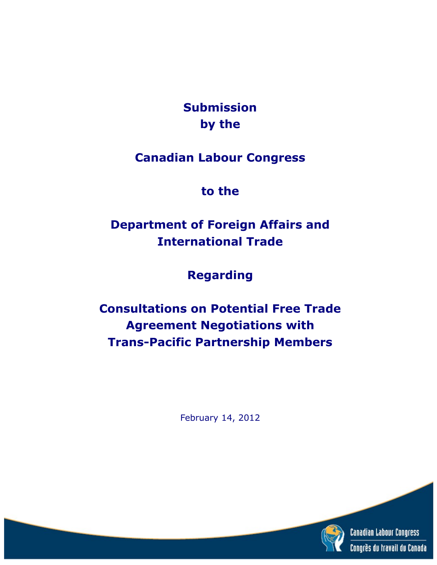**Submission by the**

**Canadian Labour Congress**

**to the**

**Department of Foreign Affairs and International Trade**

**Regarding**

**Consultations on Potential Free Trade Agreement Negotiations with Trans-Pacific Partnership Members**

February 14, 2012

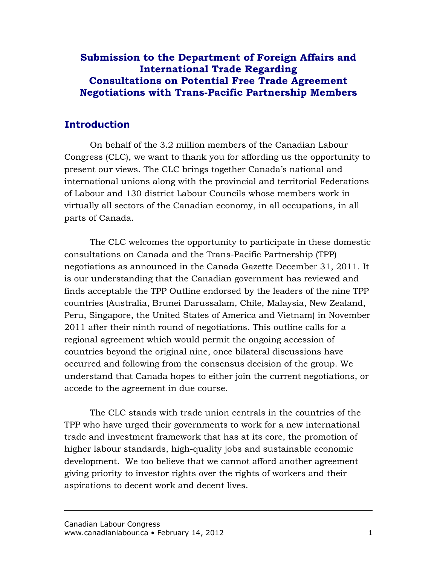# **Introduction**

On behalf of the 3.2 million members of the Canadian Labour Congress (CLC), we want to thank you for affording us the opportunity to present our views. The CLC brings together Canada's national and international unions along with the provincial and territorial Federations of Labour and 130 district Labour Councils whose members work in virtually all sectors of the Canadian economy, in all occupations, in all parts of Canada.

The CLC welcomes the opportunity to participate in these domestic consultations on Canada and the Trans-Pacific Partnership (TPP) negotiations as announced in the Canada Gazette December 31, 2011. It is our understanding that the Canadian government has reviewed and finds acceptable the TPP Outline endorsed by the leaders of the nine TPP countries (Australia, Brunei Darussalam, Chile, Malaysia, New Zealand, Peru, Singapore, the United States of America and Vietnam) in November 2011 after their ninth round of negotiations. This outline calls for a regional agreement which would permit the ongoing accession of countries beyond the original nine, once bilateral discussions have occurred and following from the consensus decision of the group. We understand that Canada hopes to either join the current negotiations, or accede to the agreement in due course.

The CLC stands with trade union centrals in the countries of the TPP who have urged their governments to work for a new international trade and investment framework that has at its core, the promotion of higher labour standards, high-quality jobs and sustainable economic development. We too believe that we cannot afford another agreement giving priority to investor rights over the rights of workers and their aspirations to decent work and decent lives.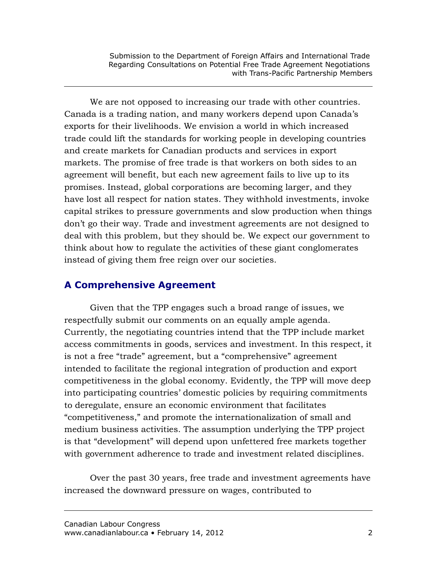We are not opposed to increasing our trade with other countries. Canada is a trading nation, and many workers depend upon Canada's exports for their livelihoods. We envision a world in which increased trade could lift the standards for working people in developing countries and create markets for Canadian products and services in export markets. The promise of free trade is that workers on both sides to an agreement will benefit, but each new agreement fails to live up to its promises. Instead, global corporations are becoming larger, and they have lost all respect for nation states. They withhold investments, invoke capital strikes to pressure governments and slow production when things don't go their way. Trade and investment agreements are not designed to deal with this problem, but they should be. We expect our government to think about how to regulate the activities of these giant conglomerates instead of giving them free reign over our societies.

## **A Comprehensive Agreement**

Given that the TPP engages such a broad range of issues, we respectfully submit our comments on an equally ample agenda. Currently, the negotiating countries intend that the TPP include market access commitments in goods, services and investment. In this respect, it is not a free "trade" agreement, but a "comprehensive" agreement intended to facilitate the regional integration of production and export competitiveness in the global economy. Evidently, the TPP will move deep into participating countries' domestic policies by requiring commitments to deregulate, ensure an economic environment that facilitates "competitiveness," and promote the internationalization of small and medium business activities. The assumption underlying the TPP project is that "development" will depend upon unfettered free markets together with government adherence to trade and investment related disciplines.

Over the past 30 years, free trade and investment agreements have increased the downward pressure on wages, contributed to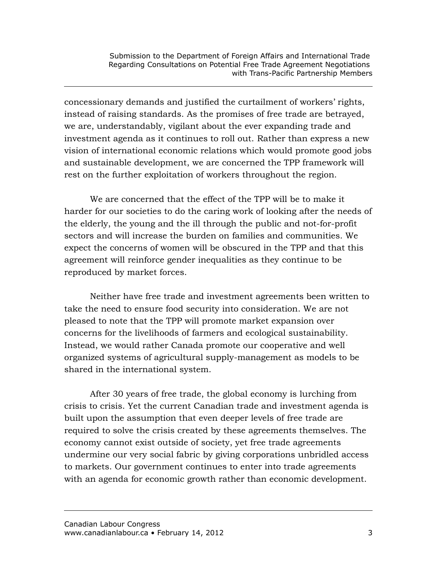concessionary demands and justified the curtailment of workers' rights, instead of raising standards. As the promises of free trade are betrayed, we are, understandably, vigilant about the ever expanding trade and investment agenda as it continues to roll out. Rather than express a new vision of international economic relations which would promote good jobs and sustainable development, we are concerned the TPP framework will rest on the further exploitation of workers throughout the region.

We are concerned that the effect of the TPP will be to make it harder for our societies to do the caring work of looking after the needs of the elderly, the young and the ill through the public and not-for-profit sectors and will increase the burden on families and communities. We expect the concerns of women will be obscured in the TPP and that this agreement will reinforce gender inequalities as they continue to be reproduced by market forces.

Neither have free trade and investment agreements been written to take the need to ensure food security into consideration. We are not pleased to note that the TPP will promote market expansion over concerns for the livelihoods of farmers and ecological sustainability. Instead, we would rather Canada promote our cooperative and well organized systems of agricultural supply-management as models to be shared in the international system.

After 30 years of free trade, the global economy is lurching from crisis to crisis. Yet the current Canadian trade and investment agenda is built upon the assumption that even deeper levels of free trade are required to solve the crisis created by these agreements themselves. The economy cannot exist outside of society, yet free trade agreements undermine our very social fabric by giving corporations unbridled access to markets. Our government continues to enter into trade agreements with an agenda for economic growth rather than economic development.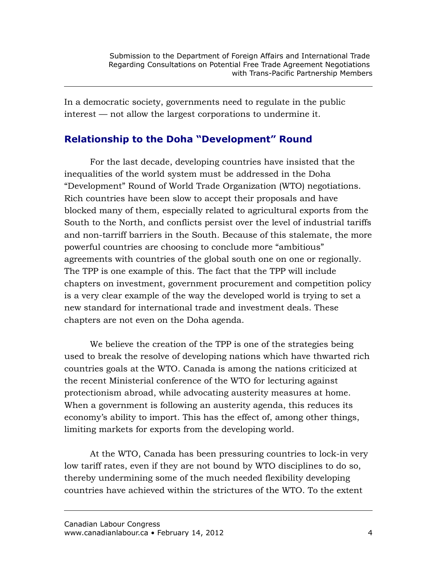In a democratic society, governments need to regulate in the public interest — not allow the largest corporations to undermine it.

# **Relationship to the Doha "Development" Round**

For the last decade, developing countries have insisted that the inequalities of the world system must be addressed in the Doha "Development" Round of World Trade Organization (WTO) negotiations. Rich countries have been slow to accept their proposals and have blocked many of them, especially related to agricultural exports from the South to the North, and conflicts persist over the level of industrial tariffs and non-tarriff barriers in the South. Because of this stalemate, the more powerful countries are choosing to conclude more "ambitious" agreements with countries of the global south one on one or regionally. The TPP is one example of this. The fact that the TPP will include chapters on investment, government procurement and competition policy is a very clear example of the way the developed world is trying to set a new standard for international trade and investment deals. These chapters are not even on the Doha agenda.

We believe the creation of the TPP is one of the strategies being used to break the resolve of developing nations which have thwarted rich countries goals at the WTO. Canada is among the nations criticized at the recent Ministerial conference of the WTO for lecturing against protectionism abroad, while advocating austerity measures at home. When a government is following an austerity agenda, this reduces its economy's ability to import. This has the effect of, among other things, limiting markets for exports from the developing world.

At the WTO, Canada has been pressuring countries to lock-in very low tariff rates, even if they are not bound by WTO disciplines to do so, thereby undermining some of the much needed flexibility developing countries have achieved within the strictures of the WTO. To the extent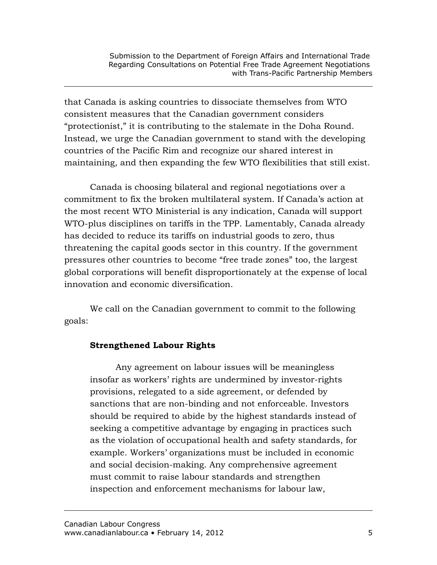that Canada is asking countries to dissociate themselves from WTO consistent measures that the Canadian government considers "protectionist," it is contributing to the stalemate in the Doha Round. Instead, we urge the Canadian government to stand with the developing countries of the Pacific Rim and recognize our shared interest in maintaining, and then expanding the few WTO flexibilities that still exist.

Canada is choosing bilateral and regional negotiations over a commitment to fix the broken multilateral system. If Canada's action at the most recent WTO Ministerial is any indication, Canada will support WTO-plus disciplines on tariffs in the TPP. Lamentably, Canada already has decided to reduce its tariffs on industrial goods to zero, thus threatening the capital goods sector in this country. If the government pressures other countries to become "free trade zones" too, the largest global corporations will benefit disproportionately at the expense of local innovation and economic diversification.

We call on the Canadian government to commit to the following goals:

### **Strengthened Labour Rights**

Any agreement on labour issues will be meaningless insofar as workers' rights are undermined by investor-rights provisions, relegated to a side agreement, or defended by sanctions that are non-binding and not enforceable. Investors should be required to abide by the highest standards instead of seeking a competitive advantage by engaging in practices such as the violation of occupational health and safety standards, for example. Workers' organizations must be included in economic and social decision-making. Any comprehensive agreement must commit to raise labour standards and strengthen inspection and enforcement mechanisms for labour law,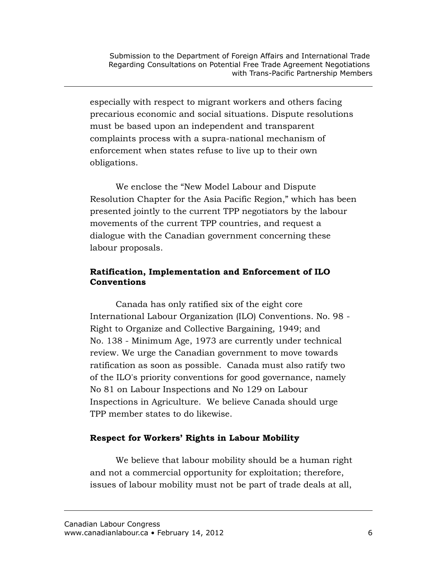especially with respect to migrant workers and others facing precarious economic and social situations. Dispute resolutions must be based upon an independent and transparent complaints process with a supra-national mechanism of enforcement when states refuse to live up to their own obligations.

We enclose the "New Model Labour and Dispute Resolution Chapter for the Asia Pacific Region," which has been presented jointly to the current TPP negotiators by the labour movements of the current TPP countries, and request a dialogue with the Canadian government concerning these labour proposals.

## **Ratification, Implementation and Enforcement of ILO Conventions**

Canada has only ratified six of the eight core International Labour Organization (ILO) Conventions. No. 98 - Right to Organize and Collective Bargaining, 1949; and No. 138 - Minimum Age, 1973 are currently under technical review. We urge the Canadian government to move towards ratification as soon as possible. Canada must also ratify two of the ILO's priority conventions for good governance, namely No 81 on Labour Inspections and No 129 on Labour Inspections in Agriculture. We believe Canada should urge TPP member states to do likewise.

## **Respect for Workers' Rights in Labour Mobility**

We believe that labour mobility should be a human right and not a commercial opportunity for exploitation; therefore, issues of labour mobility must not be part of trade deals at all,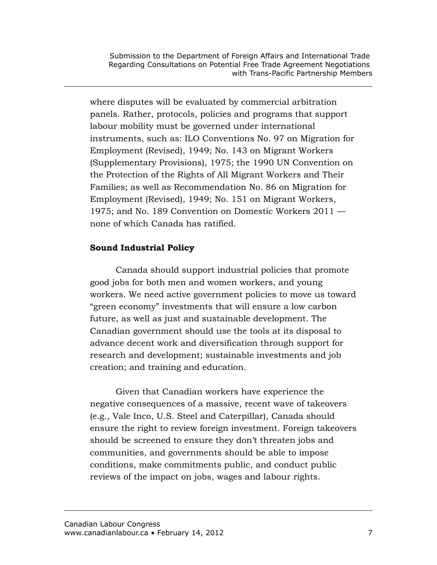where disputes will be evaluated by commercial arbitration panels. Rather, protocols, policies and programs that support labour mobility must be governed under international instruments, such as: ILO Conventions No. 97 on Migration for Employment (Revised), 1949; No. 143 on Migrant Workers (Supplementary Provisions), 1975; the 1990 UN Convention on the Protection of the Rights of All Migrant Workers and Their Families; as well as Recommendation No. 86 on Migration for Employment (Revised), 1949; No. 151 on Migrant Workers, 1975; and No. 189 Convention on Domestic Workers 2011 none of which Canada has ratified.

## **Sound Industrial Policy**

Canada should support industrial policies that promote good jobs for both men and women workers, and young workers. We need active government policies to move us toward "green economy" investments that will ensure a low carbon future, as well as just and sustainable development. The Canadian government should use the tools at its disposal to advance decent work and diversification through support for research and development; sustainable investments and job creation; and training and education.

Given that Canadian workers have experience the negative consequences of a massive, recent wave of takeovers (e.g., Vale Inco, U.S. Steel and Caterpillar), Canada should ensure the right to review foreign investment. Foreign takeovers should be screened to ensure they don't threaten jobs and communities, and governments should be able to impose conditions, make commitments public, and conduct public reviews of the impact on jobs, wages and labour rights.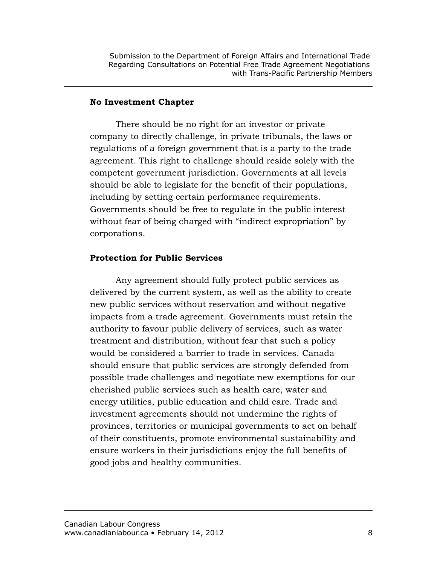#### **No Investment Chapter**

There should be no right for an investor or private company to directly challenge, in private tribunals, the laws or regulations of a foreign government that is a party to the trade agreement. This right to challenge should reside solely with the competent government jurisdiction. Governments at all levels should be able to legislate for the benefit of their populations, including by setting certain performance requirements. Governments should be free to regulate in the public interest without fear of being charged with "indirect expropriation" by corporations.

#### **Protection for Public Services**

Any agreement should fully protect public services as delivered by the current system, as well as the ability to create new public services without reservation and without negative impacts from a trade agreement. Governments must retain the authority to favour public delivery of services, such as water treatment and distribution, without fear that such a policy would be considered a barrier to trade in services. Canada should ensure that public services are strongly defended from possible trade challenges and negotiate new exemptions for our cherished public services such as health care, water and energy utilities, public education and child care. Trade and investment agreements should not undermine the rights of provinces, territories or municipal governments to act on behalf of their constituents, promote environmental sustainability and ensure workers in their jurisdictions enjoy the full benefits of good jobs and healthy communities.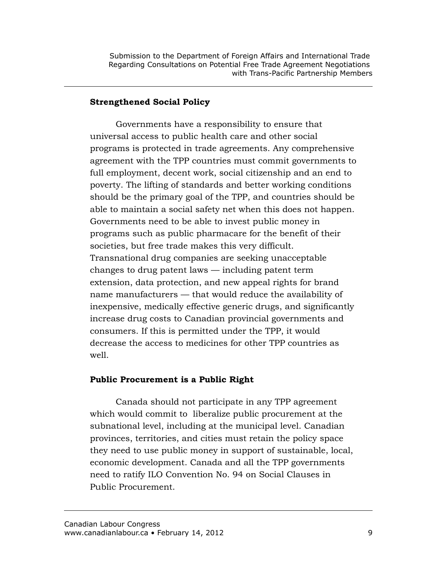#### **Strengthened Social Policy**

Governments have a responsibility to ensure that universal access to public health care and other social programs is protected in trade agreements. Any comprehensive agreement with the TPP countries must commit governments to full employment, decent work, social citizenship and an end to poverty. The lifting of standards and better working conditions should be the primary goal of the TPP, and countries should be able to maintain a social safety net when this does not happen. Governments need to be able to invest public money in programs such as public pharmacare for the benefit of their societies, but free trade makes this very difficult. Transnational drug companies are seeking unacceptable changes to drug patent laws — including patent term extension, data protection, and new appeal rights for brand name manufacturers — that would reduce the availability of inexpensive, medically effective generic drugs, and significantly increase drug costs to Canadian provincial governments and consumers. If this is permitted under the TPP, it would decrease the access to medicines for other TPP countries as well.

#### **Public Procurement is a Public Right**

Canada should not participate in any TPP agreement which would commit to liberalize public procurement at the subnational level, including at the municipal level. Canadian provinces, territories, and cities must retain the policy space they need to use public money in support of sustainable, local, economic development. Canada and all the TPP governments need to ratify ILO Convention No. 94 on Social Clauses in Public Procurement.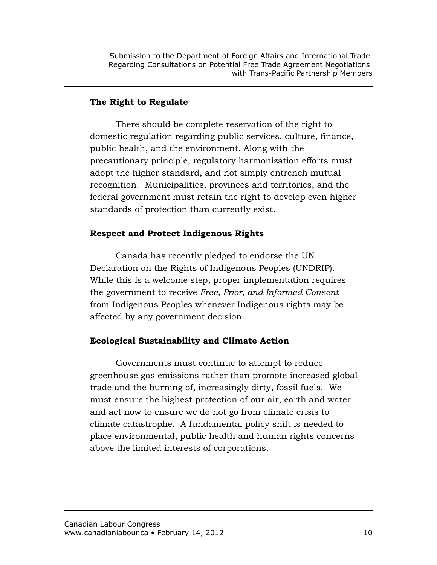#### **The Right to Regulate**

There should be complete reservation of the right to domestic regulation regarding public services, culture, finance, public health, and the environment. Along with the precautionary principle, regulatory harmonization efforts must adopt the higher standard, and not simply entrench mutual recognition. Municipalities, provinces and territories, and the federal government must retain the right to develop even higher standards of protection than currently exist.

#### **Respect and Protect Indigenous Rights**

Canada has recently pledged to endorse the UN Declaration on the Rights of Indigenous Peoples (UNDRIP). While this is a welcome step, proper implementation requires the government to receive *Free, Prior, and Informed Consent* from Indigenous Peoples whenever Indigenous rights may be affected by any government decision.

### **Ecological Sustainability and Climate Action**

Governments must continue to attempt to reduce greenhouse gas emissions rather than promote increased global trade and the burning of, increasingly dirty, fossil fuels. We must ensure the highest protection of our air, earth and water and act now to ensure we do not go from climate crisis to climate catastrophe. A fundamental policy shift is needed to place environmental, public health and human rights concerns above the limited interests of corporations.